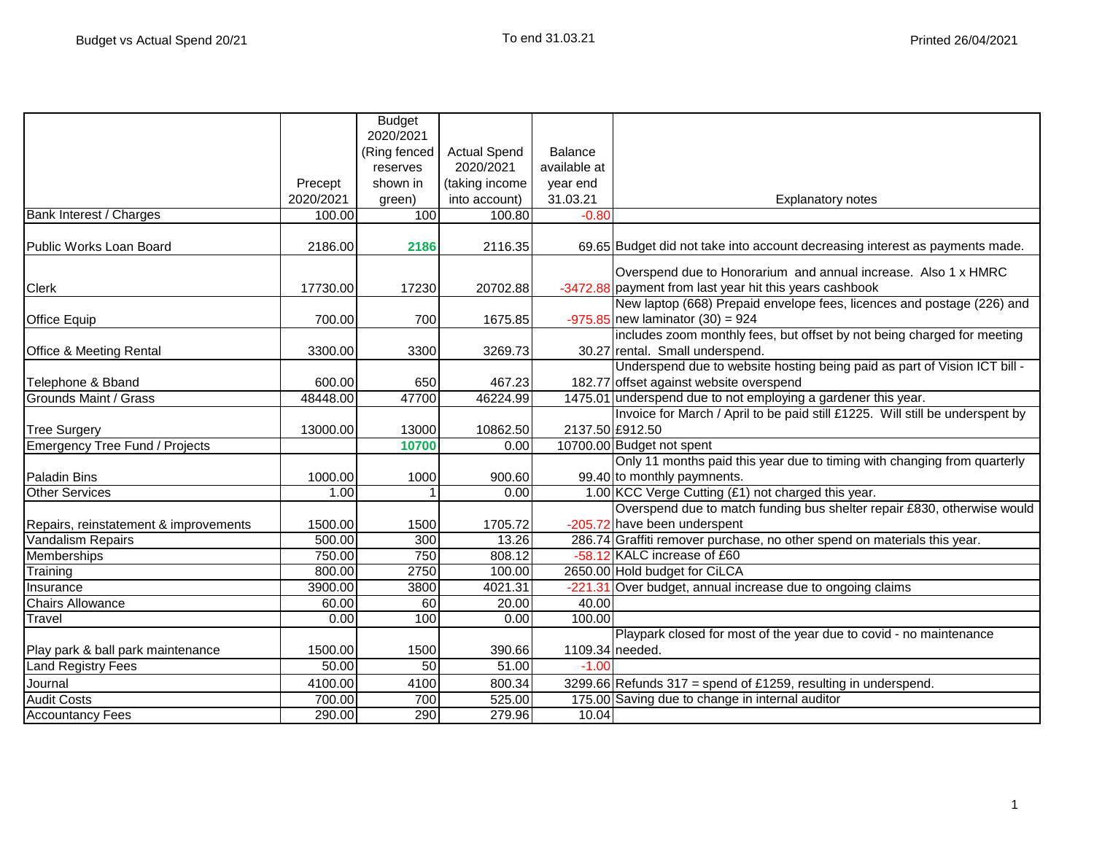|                                       |           | <b>Budget</b><br>2020/2021 |                     |                      |                                                                               |
|---------------------------------------|-----------|----------------------------|---------------------|----------------------|-------------------------------------------------------------------------------|
|                                       |           | (Ring fenced               | <b>Actual Spend</b> | <b>Balance</b>       |                                                                               |
|                                       |           | reserves                   | 2020/2021           | available at         |                                                                               |
|                                       | Precept   | shown in                   | (taking income      |                      |                                                                               |
|                                       | 2020/2021 | green)                     | into account)       | year end<br>31.03.21 | <b>Explanatory notes</b>                                                      |
| <b>Bank Interest / Charges</b>        | 100.00    | 100                        | 100.80              | $-0.80$              |                                                                               |
|                                       |           |                            |                     |                      |                                                                               |
| Public Works Loan Board               | 2186.00   | 2186                       | 2116.35             |                      | 69.65 Budget did not take into account decreasing interest as payments made.  |
|                                       |           |                            |                     |                      | Overspend due to Honorarium and annual increase. Also 1 x HMRC                |
| <b>Clerk</b>                          | 17730.00  | 17230                      | 20702.88            |                      | -3472.88 payment from last year hit this years cashbook                       |
|                                       |           |                            |                     |                      | New laptop (668) Prepaid envelope fees, licences and postage (226) and        |
| <b>Office Equip</b>                   | 700.00    | 700                        | 1675.85             |                      | $-975.85$ new laminator (30) = 924                                            |
|                                       |           |                            |                     |                      | includes zoom monthly fees, but offset by not being charged for meeting       |
| <b>Office &amp; Meeting Rental</b>    | 3300.00   | 3300                       | 3269.73             |                      | 30.27 rental. Small underspend.                                               |
|                                       |           |                            |                     |                      | Underspend due to website hosting being paid as part of Vision ICT bill -     |
| Telephone & Bband                     | 600.00    | 650                        | 467.23              |                      | 182.77 offset against website overspend                                       |
| Grounds Maint / Grass                 | 48448.00  | 47700                      | 46224.99            |                      | 1475.01 underspend due to not employing a gardener this year.                 |
|                                       |           |                            |                     |                      | Invoice for March / April to be paid still £1225. Will still be underspent by |
| <b>Tree Surgery</b>                   | 13000.00  | 13000                      | 10862.50            |                      | 2137.50 £912.50                                                               |
| Emergency Tree Fund / Projects        |           | 10700                      | 0.00                |                      | 10700.00 Budget not spent                                                     |
|                                       |           |                            |                     |                      | Only 11 months paid this year due to timing with changing from quarterly      |
| <b>Paladin Bins</b>                   | 1000.00   | 1000                       | 900.60              |                      | 99.40 to monthly paymnents.                                                   |
| Other Services                        | 1.00      |                            | 0.00                |                      | 1.00 KCC Verge Cutting (£1) not charged this year.                            |
|                                       |           |                            |                     |                      | Overspend due to match funding bus shelter repair £830, otherwise would       |
| Repairs, reinstatement & improvements | 1500.00   | 1500                       | 1705.72             |                      | -205.72 have been underspent                                                  |
| <b>Vandalism Repairs</b>              | 500.00    | 300                        | 13.26               |                      | 286.74 Graffiti remover purchase, no other spend on materials this year.      |
| Memberships                           | 750.00    | 750                        | 808.12              |                      | -58.12 KALC increase of £60                                                   |
| Training                              | 800.00    | 2750                       | 100.00              |                      | 2650.00 Hold budget for CiLCA                                                 |
| Insurance                             | 3900.00   | 3800                       | 4021.31             |                      | -221.31 Over budget, annual increase due to ongoing claims                    |
| <b>Chairs Allowance</b>               | 60.00     | 60                         | 20.00               | 40.00                |                                                                               |
| Travel                                | 0.00      | 100                        | 0.00                | 100.00               |                                                                               |
|                                       |           |                            |                     |                      | Playpark closed for most of the year due to covid - no maintenance            |
| Play park & ball park maintenance     | 1500.00   | 1500                       | 390.66              | 1109.34 needed.      |                                                                               |
| <b>Land Registry Fees</b>             | 50.00     | 50                         | 51.00               | $-1.00$              |                                                                               |
| Journal                               | 4100.00   | 4100                       | 800.34              |                      | 3299.66 Refunds 317 = spend of £1259, resulting in underspend.                |
| <b>Audit Costs</b>                    | 700.00    | 700                        | 525.00              |                      | 175.00 Saving due to change in internal auditor                               |
| <b>Accountancy Fees</b>               | 290.00    | 290                        | 279.96              | 10.04                |                                                                               |